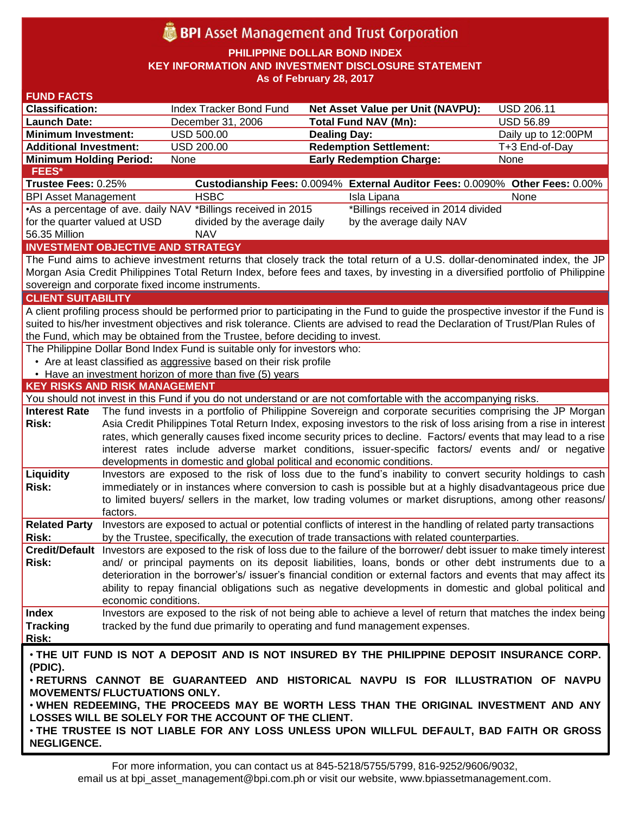# **BPI** Asset Management and Trust Corporation

**PHILIPPINE DOLLAR BOND INDEX**

**KEY INFORMATION AND INVESTMENT DISCLOSURE STATEMENT**

**As of February 28, 2017**

| <b>FUND FACTS</b>                                                                                                             |                                                                                                                                                                                                                                      |                                                                                                                                 |                     |                                                                                                                                    |                     |  |
|-------------------------------------------------------------------------------------------------------------------------------|--------------------------------------------------------------------------------------------------------------------------------------------------------------------------------------------------------------------------------------|---------------------------------------------------------------------------------------------------------------------------------|---------------------|------------------------------------------------------------------------------------------------------------------------------------|---------------------|--|
| <b>Classification:</b>                                                                                                        |                                                                                                                                                                                                                                      | Index Tracker Bond Fund                                                                                                         |                     | Net Asset Value per Unit (NAVPU):                                                                                                  | <b>USD 206.11</b>   |  |
| <b>Launch Date:</b>                                                                                                           |                                                                                                                                                                                                                                      | December 31, 2006                                                                                                               |                     | <b>Total Fund NAV (Mn):</b>                                                                                                        | <b>USD 56.89</b>    |  |
| <b>Minimum Investment:</b>                                                                                                    |                                                                                                                                                                                                                                      | <b>USD 500.00</b>                                                                                                               | <b>Dealing Day:</b> |                                                                                                                                    | Daily up to 12:00PM |  |
| <b>Additional Investment:</b>                                                                                                 |                                                                                                                                                                                                                                      | <b>USD 200.00</b>                                                                                                               |                     | <b>Redemption Settlement:</b>                                                                                                      | T+3 End-of-Day      |  |
| <b>Minimum Holding Period:</b>                                                                                                |                                                                                                                                                                                                                                      | None                                                                                                                            |                     | <b>Early Redemption Charge:</b>                                                                                                    | None                |  |
| <b>FEES*</b>                                                                                                                  |                                                                                                                                                                                                                                      |                                                                                                                                 |                     |                                                                                                                                    |                     |  |
| Trustee Fees: 0.25%                                                                                                           |                                                                                                                                                                                                                                      |                                                                                                                                 |                     | Custodianship Fees: 0.0094% External Auditor Fees: 0.0090% Other Fees: 0.00%                                                       |                     |  |
| <b>BPI Asset Management</b>                                                                                                   |                                                                                                                                                                                                                                      | <b>HSBC</b>                                                                                                                     |                     | Isla Lipana                                                                                                                        | None                |  |
|                                                                                                                               |                                                                                                                                                                                                                                      | •As a percentage of ave. daily NAV *Billings received in 2015                                                                   |                     | *Billings received in 2014 divided                                                                                                 |                     |  |
| for the quarter valued at USD                                                                                                 |                                                                                                                                                                                                                                      | divided by the average daily                                                                                                    |                     | by the average daily NAV                                                                                                           |                     |  |
| 56.35 Million                                                                                                                 |                                                                                                                                                                                                                                      | <b>NAV</b>                                                                                                                      |                     |                                                                                                                                    |                     |  |
| <b>INVESTMENT OBJECTIVE AND STRATEGY</b>                                                                                      |                                                                                                                                                                                                                                      |                                                                                                                                 |                     |                                                                                                                                    |                     |  |
|                                                                                                                               |                                                                                                                                                                                                                                      |                                                                                                                                 |                     | The Fund aims to achieve investment returns that closely track the total return of a U.S. dollar-denominated index, the JP         |                     |  |
|                                                                                                                               |                                                                                                                                                                                                                                      |                                                                                                                                 |                     | Morgan Asia Credit Philippines Total Return Index, before fees and taxes, by investing in a diversified portfolio of Philippine    |                     |  |
|                                                                                                                               |                                                                                                                                                                                                                                      | sovereign and corporate fixed income instruments.                                                                               |                     |                                                                                                                                    |                     |  |
| <b>CLIENT SUITABILITY</b>                                                                                                     |                                                                                                                                                                                                                                      |                                                                                                                                 |                     |                                                                                                                                    |                     |  |
|                                                                                                                               |                                                                                                                                                                                                                                      |                                                                                                                                 |                     | A client profiling process should be performed prior to participating in the Fund to guide the prospective investor if the Fund is |                     |  |
|                                                                                                                               |                                                                                                                                                                                                                                      |                                                                                                                                 |                     | suited to his/her investment objectives and risk tolerance. Clients are advised to read the Declaration of Trust/Plan Rules of     |                     |  |
|                                                                                                                               |                                                                                                                                                                                                                                      | the Fund, which may be obtained from the Trustee, before deciding to invest.                                                    |                     |                                                                                                                                    |                     |  |
|                                                                                                                               |                                                                                                                                                                                                                                      | The Philippine Dollar Bond Index Fund is suitable only for investors who:                                                       |                     |                                                                                                                                    |                     |  |
|                                                                                                                               |                                                                                                                                                                                                                                      | • Are at least classified as aggressive based on their risk profile<br>• Have an investment horizon of more than five (5) years |                     |                                                                                                                                    |                     |  |
| <b>KEY RISKS AND RISK MANAGEMENT</b>                                                                                          |                                                                                                                                                                                                                                      |                                                                                                                                 |                     |                                                                                                                                    |                     |  |
|                                                                                                                               |                                                                                                                                                                                                                                      |                                                                                                                                 |                     | You should not invest in this Fund if you do not understand or are not comfortable with the accompanying risks.                    |                     |  |
| <b>Interest Rate</b>                                                                                                          |                                                                                                                                                                                                                                      |                                                                                                                                 |                     | The fund invests in a portfolio of Philippine Sovereign and corporate securities comprising the JP Morgan                          |                     |  |
| <b>Risk:</b>                                                                                                                  |                                                                                                                                                                                                                                      |                                                                                                                                 |                     |                                                                                                                                    |                     |  |
|                                                                                                                               | Asia Credit Philippines Total Return Index, exposing investors to the risk of loss arising from a rise in interest<br>rates, which generally causes fixed income security prices to decline. Factors/ events that may lead to a rise |                                                                                                                                 |                     |                                                                                                                                    |                     |  |
|                                                                                                                               |                                                                                                                                                                                                                                      |                                                                                                                                 |                     | interest rates include adverse market conditions, issuer-specific factors/ events and/ or negative                                 |                     |  |
|                                                                                                                               |                                                                                                                                                                                                                                      | developments in domestic and global political and economic conditions.                                                          |                     |                                                                                                                                    |                     |  |
| Liquidity                                                                                                                     |                                                                                                                                                                                                                                      |                                                                                                                                 |                     | Investors are exposed to the risk of loss due to the fund's inability to convert security holdings to cash                         |                     |  |
| <b>Risk:</b>                                                                                                                  |                                                                                                                                                                                                                                      |                                                                                                                                 |                     | immediately or in instances where conversion to cash is possible but at a highly disadvantageous price due                         |                     |  |
|                                                                                                                               |                                                                                                                                                                                                                                      |                                                                                                                                 |                     | to limited buyers/ sellers in the market, low trading volumes or market disruptions, among other reasons/                          |                     |  |
|                                                                                                                               | factors.                                                                                                                                                                                                                             |                                                                                                                                 |                     |                                                                                                                                    |                     |  |
| <b>Related Party</b>                                                                                                          |                                                                                                                                                                                                                                      |                                                                                                                                 |                     | Investors are exposed to actual or potential conflicts of interest in the handling of related party transactions                   |                     |  |
| <b>Risk:</b>                                                                                                                  |                                                                                                                                                                                                                                      |                                                                                                                                 |                     | by the Trustee, specifically, the execution of trade transactions with related counterparties.                                     |                     |  |
|                                                                                                                               |                                                                                                                                                                                                                                      |                                                                                                                                 |                     | Credit/Default Investors are exposed to the risk of loss due to the failure of the borrower/ debt issuer to make timely interest   |                     |  |
| Risk:                                                                                                                         | and/ or principal payments on its deposit liabilities, loans, bonds or other debt instruments due to a                                                                                                                               |                                                                                                                                 |                     |                                                                                                                                    |                     |  |
|                                                                                                                               |                                                                                                                                                                                                                                      |                                                                                                                                 |                     | deterioration in the borrower's/ issuer's financial condition or external factors and events that may affect its                   |                     |  |
|                                                                                                                               |                                                                                                                                                                                                                                      |                                                                                                                                 |                     | ability to repay financial obligations such as negative developments in domestic and global political and                          |                     |  |
|                                                                                                                               | economic conditions.                                                                                                                                                                                                                 |                                                                                                                                 |                     |                                                                                                                                    |                     |  |
| <b>Index</b>                                                                                                                  |                                                                                                                                                                                                                                      |                                                                                                                                 |                     | Investors are exposed to the risk of not being able to achieve a level of return that matches the index being                      |                     |  |
| <b>Tracking</b>                                                                                                               |                                                                                                                                                                                                                                      | tracked by the fund due primarily to operating and fund management expenses.                                                    |                     |                                                                                                                                    |                     |  |
| <b>Risk:</b>                                                                                                                  |                                                                                                                                                                                                                                      |                                                                                                                                 |                     |                                                                                                                                    |                     |  |
| . THE UIT FUND IS NOT A DEPOSIT AND IS NOT INSURED BY THE PHILIPPINE DEPOSIT INSURANCE CORP.                                  |                                                                                                                                                                                                                                      |                                                                                                                                 |                     |                                                                                                                                    |                     |  |
| (PDIC).                                                                                                                       |                                                                                                                                                                                                                                      |                                                                                                                                 |                     |                                                                                                                                    |                     |  |
| . RETURNS CANNOT BE GUARANTEED AND HISTORICAL NAVPU IS FOR ILLUSTRATION OF NAVPU                                              |                                                                                                                                                                                                                                      |                                                                                                                                 |                     |                                                                                                                                    |                     |  |
| <b>MOVEMENTS/ FLUCTUATIONS ONLY.</b><br>. WHEN REDEEMING, THE PROCEEDS MAY BE WORTH LESS THAN THE ORIGINAL INVESTMENT AND ANY |                                                                                                                                                                                                                                      |                                                                                                                                 |                     |                                                                                                                                    |                     |  |
|                                                                                                                               |                                                                                                                                                                                                                                      |                                                                                                                                 |                     |                                                                                                                                    |                     |  |
|                                                                                                                               |                                                                                                                                                                                                                                      | LOSSES WILL BE SOLELY FOR THE ACCOUNT OF THE CLIENT.                                                                            |                     |                                                                                                                                    |                     |  |
| . THE TRUSTEE IS NOT LIABLE FOR ANY LOSS UNLESS UPON WILLFUL DEFAULT, BAD FAITH OR GROSS                                      |                                                                                                                                                                                                                                      |                                                                                                                                 |                     |                                                                                                                                    |                     |  |
| <b>NEGLIGENCE.</b>                                                                                                            |                                                                                                                                                                                                                                      |                                                                                                                                 |                     |                                                                                                                                    |                     |  |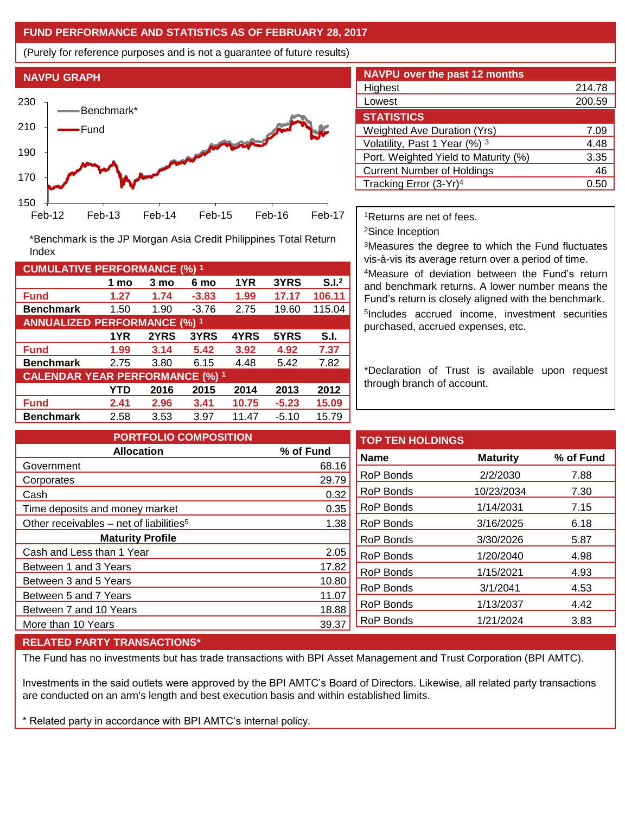## **FUND PERFORMANCE AND STATISTICS AS OF FEBRUARY 28, 2017**

(Purely for reference purposes and is not a guarantee of future results)



**Fund 1.27 1.74 -3.83 1.99 17.17 106.11 Benchmark** 1.50 1.90 -3.76 2.75 19.60 115.04

\*Benchmark is the JP Morgan Asia Credit Philippines Total Return

**Fund 1.99 3.14 5.42 3.92 4.92 7.37 Benchmark** 2.75 3.80 6.15 4.48 5.42 7.82

**Fund 2.41 2.96 3.41 10.75 -5.23 15.09 Benchmark** 2.58 3.53 3.97 11.47 -5.10 15.79

**1 mo 3 mo 6 mo 1YR 3YRS S.I.<sup>2</sup>**

**1YR 2YRS 3YRS 4YRS 5YRS S.I.**

**YTD 2016 2015 2014 2013 2012**

| <b>NAVPU over the past 12 months</b> |        |  |  |  |  |
|--------------------------------------|--------|--|--|--|--|
| Highest                              | 214.78 |  |  |  |  |
| Lowest                               | 200.59 |  |  |  |  |
| <b>STATISTICS</b>                    |        |  |  |  |  |
| <b>Weighted Ave Duration (Yrs)</b>   | 7.09   |  |  |  |  |
| Volatility, Past 1 Year (%) 3        | 4.48   |  |  |  |  |
| Port. Weighted Yield to Maturity (%) | 3.35   |  |  |  |  |
| <b>Current Number of Holdings</b>    | 46     |  |  |  |  |
| Tracking Error (3-Yr) <sup>4</sup>   | 0.5    |  |  |  |  |

<sup>1</sup>Returns are net of fees.

<sup>2</sup>Since Inception

<sup>3</sup>Measures the degree to which the Fund fluctuates vis-à-vis its average return over a period of time.

<sup>4</sup>Measure of deviation between the Fund's return and benchmark returns. A lower number means the Fund's return is closely aligned with the benchmark. 5 Includes accrued income, investment securities purchased, accrued expenses, etc.

\*Declaration of Trust is available upon request through branch of account.

| <b>PORTFOLIO COMPOSITION</b>                        |           | <b>TOP</b> |
|-----------------------------------------------------|-----------|------------|
| <b>Allocation</b>                                   | % of Fund | Nam        |
| Government                                          | 68.16     |            |
| Corporates                                          | 29.79     | RoP        |
| Cash                                                | 0.32      | <b>RoP</b> |
| Time deposits and money market                      | 0.35      | RoP        |
| Other receivables – net of liabilities <sup>5</sup> | 1.38      | <b>RoP</b> |
| <b>Maturity Profile</b>                             |           | <b>RoP</b> |
| Cash and Less than 1 Year                           | 2.05      | <b>RoP</b> |
| Between 1 and 3 Years                               | 17.82     | <b>RoP</b> |
| Between 3 and 5 Years                               | 10.80     |            |
| Between 5 and 7 Years                               | 11.07     | <b>RoP</b> |
| Between 7 and 10 Years                              | 18.88     | RoP        |
| More than 10 Years                                  | 39.37     | RoP        |

| <b>TOP TEN HOLDINGS</b> |                 |           |
|-------------------------|-----------------|-----------|
| <b>Name</b>             | <b>Maturity</b> | % of Fund |
| RoP Bonds               | 2/2/2030        | 7.88      |
| RoP Bonds               | 10/23/2034      | 7.30      |
| RoP Bonds               | 1/14/2031       | 7.15      |
| RoP Bonds               | 3/16/2025       | 6.18      |
| RoP Bonds               | 3/30/2026       | 5.87      |
| RoP Bonds               | 1/20/2040       | 4.98      |
| RoP Bonds               | 1/15/2021       | 4.93      |
| RoP Bonds               | 3/1/2041        | 4.53      |
| RoP Bonds               | 1/13/2037       | 4.42      |
| RoP Bonds               | 1/21/2024       | 3.83      |
|                         |                 |           |

### **RELATED PARTY TRANSACTIONS\***

**CUMULATIVE PERFORMANCE (%) <sup>1</sup>**

Index

**ANNUALIZED PERFORMANCE (%) <sup>1</sup>**

**CALENDAR YEAR PERFORMANCE (%) <sup>1</sup>**

The Fund has no investments but has trade transactions with BPI Asset Management and Trust Corporation (BPI AMTC).

Investments in the said outlets were approved by the BPI AMTC's Board of Directors. Likewise, all related party transactions are conducted on an arm's length and best execution basis and within established limits.

\* Related party in accordance with BPI AMTC's internal policy.